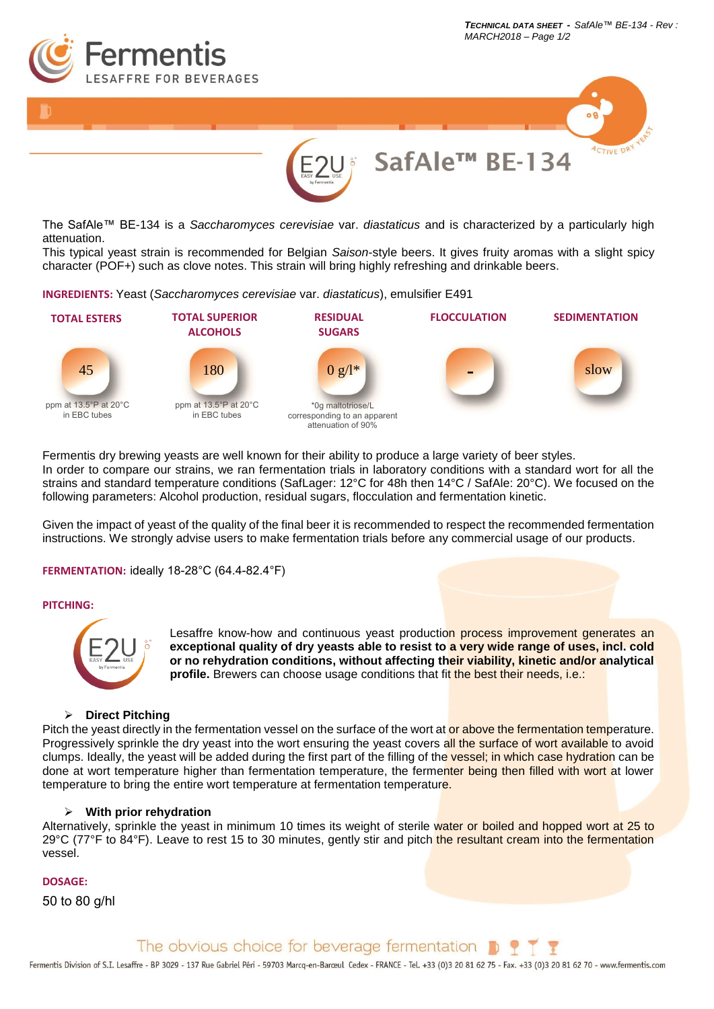



The SafAle™ BE-134 is a *Saccharomyces cerevisiae* var. *diastaticus* and is characterized by a particularly high attenuation.

This typical yeast strain is recommended for Belgian *Saison*-style beers. It gives fruity aromas with a slight spicy character (POF+) such as clove notes. This strain will bring highly refreshing and drinkable beers.

**INGREDIENTS:** Yeast (*Saccharomyces cerevisiae* var. *diastaticus*), emulsifier E491



Fermentis dry brewing yeasts are well known for their ability to produce a large variety of beer styles. In order to compare our strains, we ran fermentation trials in laboratory conditions with a standard wort for all the strains and standard temperature conditions (SafLager: 12°C for 48h then 14°C / SafAle: 20°C). We focused on the following parameters: Alcohol production, residual sugars, flocculation and fermentation kinetic.

Given the impact of yeast of the quality of the final beer it is recommended to respect the recommended fermentation instructions. We strongly advise users to make fermentation trials before any commercial usage of our products.

**FERMENTATION:** ideally 18-28°C (64.4-82.4°F)

## **PITCHING:**



Lesaffre know-how and continuous yeast production process improvement generates an **exceptional quality of dry yeasts able to resist to a very wide range of uses, incl. cold or no rehydration conditions, without affecting their viability, kinetic and/or analytical profile.** Brewers can choose usage conditions that fit the best their needs, i.e.:

## ➢ **Direct Pitching**

Pitch the yeast directly in the fermentation yessel on the surface of the wort at or above the fermentation temperature. Progressively sprinkle the dry yeast into the wort ensuring the yeast covers all the surface of wort available to avoid clumps. Ideally, the yeast will be added during the first part of the filling of the vessel; in which case hydration can be done at wort temperature higher than fermentation temperature, the fermenter being then filled with wort at lower temperature to bring the entire wort temperature at fermentation temperature.

## ➢ **With prior rehydration**

Alternatively, sprinkle the yeast in minimum 10 times its weight of sterile water or boiled and hopped wort at 25 to 29°C (77°F to 84°F). Leave to rest 15 to 30 minutes, gently stir and pitch the resultant cream into the fermentation vessel.

## **DOSAGE:**

50 to 80 g/hl

The obvious choice for beverage fermentation

Fermentis Division of S.I. Lesaffre - BP 3029 - 137 Rue Gabriel Péri - 59703 Marcq-en-Barceul Cedex - FRANCE - Tel. +33 (0)3 20 81 62 75 - Fax. +33 (0)3 20 81 62 70 - www.fermentis.com